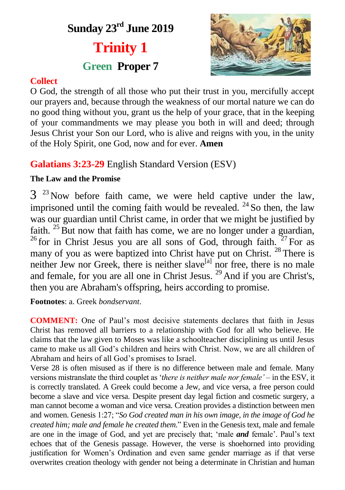# **Sunday 23 rd June 2019**

# **Trinity 1**

# **Green Proper 7**



# **Collect**

O God, the strength of all those who put their trust in you, mercifully accept our prayers and, because through the weakness of our mortal nature we can do no good thing without you, grant us the help of your grace, that in the keeping of your commandments we may please you both in will and deed; through Jesus Christ your Son our Lord, who is alive and reigns with you, in the unity of the Holy Spirit, one God, now and for ever. **Amen**

# **Galatians 3:23-29** English Standard Version (ESV)

# **The Law and the Promise**

 $3<sup>23</sup>$  Now before faith came, we were held captive under the law, imprisoned until the coming faith would be revealed.  $^{24}$  So then, the law was our guardian until Christ came, in order that we might be justified by faith.  $25$  But now that faith has come, we are no longer under a guardian, <sup>26</sup> for in Christ Jesus you are all sons of God, through faith.  $27$  For as many of you as were baptized into Christ have put on Christ.<sup>28</sup> There is neither Jew nor Greek, there is neither slave<sup>[a]</sup> nor free, there is no male and female, for you are all one in Christ Jesus.  $^{29}$  And if you are Christ's. then you are Abraham's offspring, heirs according to promise.

**Footnotes**: a. Greek *bondservant*.

**COMMENT:** One of Paul's most decisive statements declares that faith in Jesus Christ has removed all barriers to a relationship with God for all who believe. He claims that the law given to Moses was like a schoolteacher disciplining us until Jesus came to make us all God's children and heirs with Christ. Now, we are all children of Abraham and heirs of all God's promises to Israel.

Verse 28 is often misused as if there is no difference between male and female. Many versions mistranslate the third couplet as '*there is neither male nor female'* – in the ESV, it is correctly translated. A Greek could become a Jew, and vice versa, a free person could become a slave and vice versa. Despite present day legal fiction and cosmetic surgery, a man cannot become a woman and vice versa. Creation provides a distinction between men and women. Genesis 1:27; "*So God created man in his own image, in the image of God he created him; male and female he created them*." Even in the Genesis text, male and female are one in the image of God, and yet are precisely that; 'male *and* female'. Paul's text echoes that of the Genesis passage. However, the verse is shoehorned into providing justification for Women's Ordination and even same gender marriage as if that verse overwrites creation theology with gender not being a determinate in Christian and human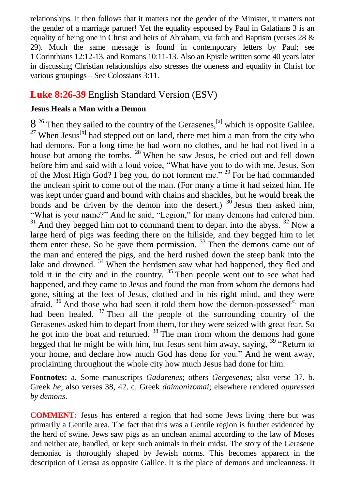relationships. It then follows that it matters not the gender of the Minister, it matters not the gender of a marriage partner! Yet the equality espoused by Paul in Galatians 3 is an equality of being one in Christ and heirs of Abraham, via faith and Baptism (verses  $28 \&$ 29). Much the same message is found in contemporary letters by Paul; see 1 Corinthians 12:12-13, and Romans 10:11-13. Also an Epistle written some 40 years later in discussing Christian relationships also stresses the oneness and equality in Christ for various groupings – See Colossians 3:11.

# **Luke 8:26-39** English Standard Version (ESV)

#### **Jesus Heals a Man with a Demon**

 $8<sup>26</sup>$  Then they sailed to the country of the Gerasenes,<sup>[a]</sup> which is opposite Galilee.  $^{27}$  When Jesus<sup>[b]</sup> had stepped out on land, there met him a man from the city who had demons. For a long time he had worn no clothes, and he had not lived in a house but among the tombs. <sup>28</sup> When he saw Jesus, he cried out and fell down before him and said with a loud voice, "What have you to do with me, Jesus, Son of the Most High God? I beg you, do not torment me." <sup>29</sup> For he had commanded the unclean spirit to come out of the man. (For many a time it had seized him. He was kept under guard and bound with chains and shackles, but he would break the bonds and be driven by the demon into the desert.)  $30$  Jesus then asked him, "What is your name?" And he said, "Legion," for many demons had entered him.  $31$  And they begged him not to command them to depart into the abyss.  $32$  Now a large herd of pigs was feeding there on the hillside, and they begged him to let them enter these. So he gave them permission.  $33$  Then the demons came out of the man and entered the pigs, and the herd rushed down the steep bank into the lake and drowned.<sup>34</sup> When the herdsmen saw what had happened, they fled and told it in the city and in the country.  $35$  Then people went out to see what had happened, and they came to Jesus and found the man from whom the demons had gone, sitting at the feet of Jesus, clothed and in his right mind, and they were afraid.  $36$  And those who had seen it told them how the demon-possessed<sup>[c]</sup> man had been healed.  $37$  Then all the people of the surrounding country of the Gerasenes asked him to depart from them, for they were seized with great fear. So he got into the boat and returned. <sup>38</sup> The man from whom the demons had gone begged that he might be with him, but Jesus sent him away, saying, <sup>39</sup> "Return to your home, and declare how much God has done for you." And he went away, proclaiming throughout the whole city how much Jesus had done for him.

**Footnotes:** a. Some manuscripts *Gadarenes*; others *Gergesenes*; also verse 37. b. Greek *he*; also verses 38, 42. c. Greek *daimonizomai*; elsewhere rendered *oppressed by demons*.

**COMMENT:** Jesus has entered a region that had some Jews living there but was primarily a Gentile area. The fact that this was a Gentile region is further evidenced by the herd of swine. Jews saw pigs as an unclean animal according to the law of Moses and neither ate, handled, or kept such animals in their midst. The story of the Gerasene demoniac is thoroughly shaped by Jewish norms. This becomes apparent in the description of Gerasa as opposite Galilee. It is the place of demons and uncleanness. It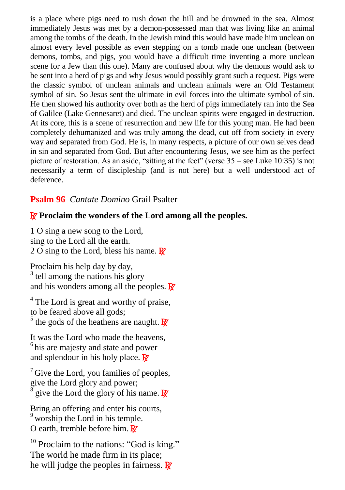is a place where pigs need to rush down the hill and be drowned in the sea. Almost immediately Jesus was met by a demon-possessed man that was living like an animal among the tombs of the death. In the Jewish mind this would have made him unclean on almost every level possible as even stepping on a tomb made one unclean (between demons, tombs, and pigs, you would have a difficult time inventing a more unclean scene for a Jew than this one). Many are confused about why the demons would ask to be sent into a herd of pigs and why Jesus would possibly grant such a request. Pigs were the classic symbol of unclean animals and unclean animals were an Old Testament symbol of sin. So Jesus sent the ultimate in evil forces into the ultimate symbol of sin. He then showed his authority over both as the herd of pigs immediately ran into the Sea of Galilee (Lake Gennesaret) and died. The unclean spirits were engaged in destruction. At its core, this is a scene of resurrection and new life for this young man. He had been completely dehumanized and was truly among the dead, cut off from society in every way and separated from God. He is, in many respects, a picture of our own selves dead in sin and separated from God. But after encountering Jesus, we see him as the perfect picture of restoration. As an aside, "sitting at the feet" (verse 35 – see Luke 10:35) is not necessarily a term of discipleship (and is not here) but a well understood act of deference.

#### **Psalm 96** *Cantate Domino* Grail Psalter

### R **Proclaim the wonders of the Lord among all the peoples.**

1 O sing a new song to the Lord, sing to the Lord all the earth. 2 O sing to the Lord, bless his name.  $\mathbb{R}^7$ 

Proclaim his help day by day, <sup>3</sup> tell among the nations his glory and his wonders among all the peoples.  $\mathbf{\mathbb{R}}$ 

<sup>4</sup> The Lord is great and worthy of praise, to be feared above all gods; <sup>5</sup> the gods of the heathens are naught.  $\overline{\mathbf{R}}$ 

It was the Lord who made the heavens,  $<sup>6</sup>$  his are majesty and state and power</sup> and splendour in his holy place.  $\mathbb{R}^r$ 

 $<sup>7</sup>$  Give the Lord, you families of peoples,</sup> give the Lord glory and power;<br> $\frac{8}{3}$  give the Lord the glory of his give the Lord the glory of his name.  $\mathbf{R}$ 

Bring an offering and enter his courts,  $9$  worship the Lord in his temple. O earth, tremble before him.  $\mathbb{R}^7$ 

 $10$  Proclaim to the nations: "God is king." The world he made firm in its place; he will judge the peoples in fairness.  $\mathbb{R}^7$